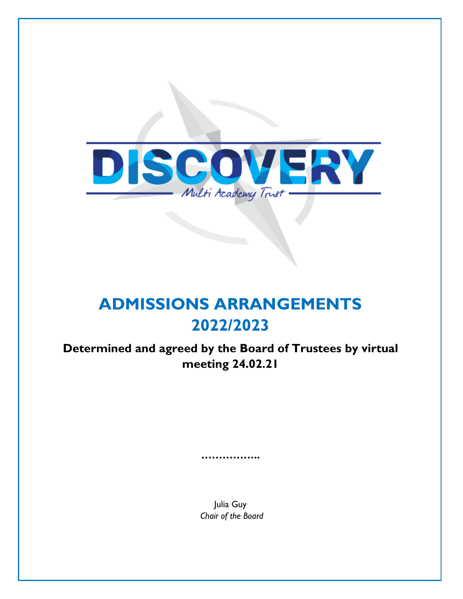

# **ADMISSIONS ARRANGEMENTS 2022/2023**

**Determined and agreed by the Board of Trustees by virtual meeting 24.02.21**

> Julia Guy *Chair of the Board*

**……………..**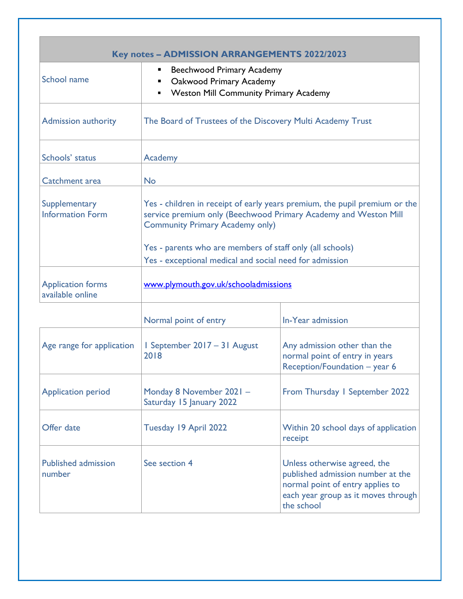| <b>Key notes - ADMISSION ARRANGEMENTS 2022/2023</b> |                                                                                                                                                                                         |                                                                                                                                                            |  |
|-----------------------------------------------------|-----------------------------------------------------------------------------------------------------------------------------------------------------------------------------------------|------------------------------------------------------------------------------------------------------------------------------------------------------------|--|
| School name                                         | <b>Beechwood Primary Academy</b><br>п<br>Oakwood Primary Academy<br>ш<br><b>Weston Mill Community Primary Academy</b><br>Ξ                                                              |                                                                                                                                                            |  |
| <b>Admission authority</b>                          | The Board of Trustees of the Discovery Multi Academy Trust                                                                                                                              |                                                                                                                                                            |  |
| Schools' status                                     | Academy                                                                                                                                                                                 |                                                                                                                                                            |  |
| Catchment area                                      | <b>No</b>                                                                                                                                                                               |                                                                                                                                                            |  |
| Supplementary<br><b>Information Form</b>            | Yes - children in receipt of early years premium, the pupil premium or the<br>service premium only (Beechwood Primary Academy and Weston Mill<br><b>Community Primary Academy only)</b> |                                                                                                                                                            |  |
|                                                     | Yes - parents who are members of staff only (all schools)<br>Yes - exceptional medical and social need for admission                                                                    |                                                                                                                                                            |  |
| <b>Application forms</b><br>available online        | www.plymouth.gov.uk/schooladmissions                                                                                                                                                    |                                                                                                                                                            |  |
|                                                     | Normal point of entry                                                                                                                                                                   | In-Year admission                                                                                                                                          |  |
| Age range for application                           | I September 2017 - 31 August<br>2018                                                                                                                                                    | Any admission other than the<br>normal point of entry in years<br>Reception/Foundation - year 6                                                            |  |
| <b>Application period</b>                           | Monday 8 November 2021 -<br>Saturday 15 January 2022                                                                                                                                    | From Thursday I September 2022                                                                                                                             |  |
| Offer date                                          | Tuesday 19 April 2022                                                                                                                                                                   | Within 20 school days of application<br>receipt                                                                                                            |  |
| <b>Published admission</b><br>number                | See section 4                                                                                                                                                                           | Unless otherwise agreed, the<br>published admission number at the<br>normal point of entry applies to<br>each year group as it moves through<br>the school |  |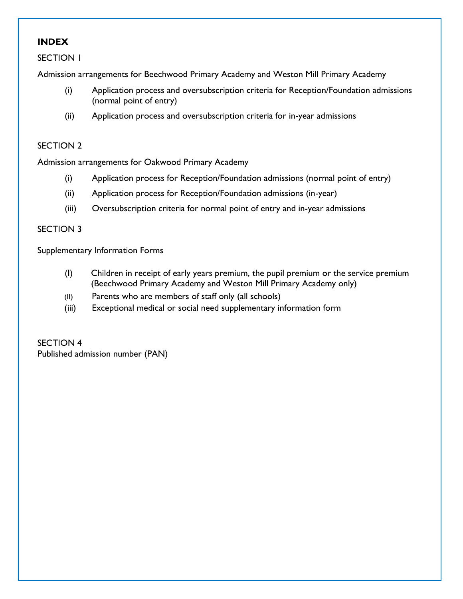# **INDEX**

SECTION 1

Admission arrangements for Beechwood Primary Academy and Weston Mill Primary Academy

- (i) Application process and oversubscription criteria for Reception/Foundation admissions (normal point of entry)
- (ii) Application process and oversubscription criteria for in-year admissions

#### SECTION 2

Admission arrangements for Oakwood Primary Academy

- (i) Application process for Reception/Foundation admissions (normal point of entry)
- (ii) Application process for Reception/Foundation admissions (in-year)
- (iii) Oversubscription criteria for normal point of entry and in-year admissions

#### SECTION 3

Supplementary Information Forms

- (I) Children in receipt of early years premium, the pupil premium or the service premium (Beechwood Primary Academy and Weston Mill Primary Academy only)
- (II) Parents who are members of staff only (all schools)
- (iii) Exceptional medical or social need supplementary information form

SECTION 4 Published admission number (PAN)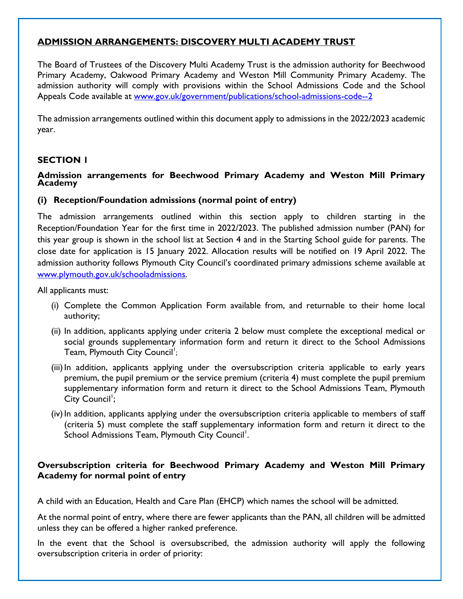# **ADMISSION ARRANGEMENTS: DISCOVERY MULTI ACADEMY TRUST**

The Board of Trustees of the Discovery Multi Academy Trust is the admission authority for Beechwood Primary Academy, Oakwood Primary Academy and Weston Mill Community Primary Academy. The admission authority will comply with provisions within the School Admissions Code and the School Appeals Code available at [www.gov.uk/government/publications/school-admissions-code--2](http://www.gov.uk/government/publications/school-admissions-code--2)

The admission arrangements outlined within this document apply to admissions in the 2022/2023 academic year.

#### **SECTION 1**

#### **Admission arrangements for Beechwood Primary Academy and Weston Mill Primary Academy**

#### **(i) Reception/Foundation admissions (normal point of entry)**

The admission arrangements outlined within this section apply to children starting in the Reception/Foundation Year for the first time in 2022/2023. The published admission number (PAN) for this year group is shown in the school list at Section 4 and in the Starting School guide for parents. The close date for application is 15 January 2022. Allocation results will be notified on 19 April 2022. The admission authority follows Plymouth City Council's coordinated primary admissions scheme available at [www.plymouth.gov.uk/schooladmissions.](http://www.plymouth.gov.uk/schooladmissions)

All applicants must:

- (i) Complete the Common Application Form available from, and returnable to their home local authority;
- (ii) In addition, applicants applying under criteria 2 below must complete the exceptional medical or social grounds supplementary information form and return it direct to the School Admissions Team, Plymouth City Council<sup>1</sup>;
- (iii)In addition, applicants applying under the oversubscription criteria applicable to early years premium, the pupil premium or the service premium (criteria 4) must complete the pupil premium supplementary information form and return it direct to the School Admissions Team, Plymouth City Council<sup>1</sup>;
- (iv) In addition, applicants applying under the oversubscription criteria applicable to members of staff (criteria 5) must complete the staff supplementary information form and return it direct to the School Admissions Team, Plymouth City Council<sup>1</sup>.

# **Oversubscription criteria for Beechwood Primary Academy and Weston Mill Primary Academy for normal point of entry**

A child with an Education, Health and Care Plan (EHCP) which names the school will be admitted.

At the normal point of entry, where there are fewer applicants than the PAN, all children will be admitted unless they can be offered a higher ranked preference.

In the event that the School is oversubscribed, the admission authority will apply the following oversubscription criteria in order of priority: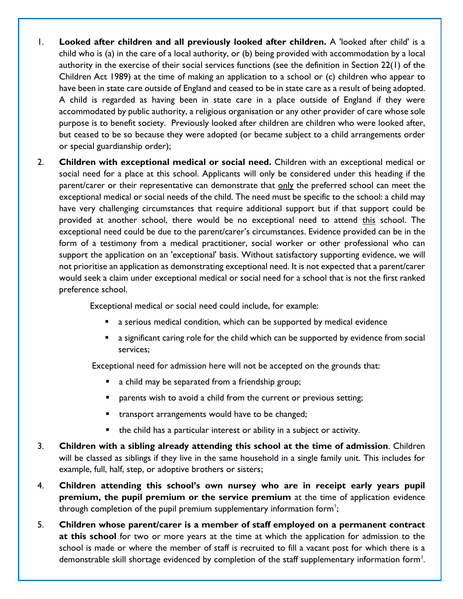- 1. **Looked after children and all previously looked after children.** A 'looked after child' is a child who is (a) in the care of a local authority, or (b) being provided with accommodation by a local authority in the exercise of their social services functions (see the definition in Section 22(1) of the Children Act 1989) at the time of making an application to a school or (c) children who appear to have been in state care outside of England and ceased to be in state care as a result of being adopted. A child is regarded as having been in state care in a place outside of England if they were accommodated by public authority, a religious organisation or any other provider of care whose sole purpose is to benefit society. Previously looked after children are children who were looked after, but ceased to be so because they were adopted (or became subject to a child arrangements order or special guardianship order);
- 2. **Children with exceptional medical or social need.** Children with an exceptional medical or social need for a place at this school. Applicants will only be considered under this heading if the parent/carer or their representative can demonstrate that only the preferred school can meet the exceptional medical or social needs of the child. The need must be specific to the school: a child may have very challenging circumstances that require additional support but if that support could be provided at another school, there would be no exceptional need to attend this school. The exceptional need could be due to the parent/carer's circumstances. Evidence provided can be in the form of a testimony from a medical practitioner, social worker or other professional who can support the application on an 'exceptional' basis. Without satisfactory supporting evidence, we will not prioritise an application as demonstrating exceptional need. It is not expected that a parent/carer would seek a claim under exceptional medical or social need for a school that is not the first ranked preference school.

Exceptional medical or social need could include, for example:

- a serious medical condition, which can be supported by medical evidence
- a significant caring role for the child which can be supported by evidence from social services;

Exceptional need for admission here will not be accepted on the grounds that:

- a child may be separated from a friendship group;
- parents wish to avoid a child from the current or previous setting;
- transport arrangements would have to be changed;
- the child has a particular interest or ability in a subject or activity.
- 3. **Children with a sibling already attending this school at the time of admission**. Children will be classed as siblings if they live in the same household in a single family unit. This includes for example, full, half, step, or adoptive brothers or sisters;
- 4. **Children attending this school's own nursey who are in receipt early years pupil premium, the pupil premium or the service premium** at the time of application evidence through completion of the pupil premium supplementary information form $^{\text{!}}\!;$
- 5. **Children whose parent/carer is a member of staff employed on a permanent contract at this school** for two or more years at the time at which the application for admission to the school is made or where the member of staff is recruited to fill a vacant post for which there is a demonstrable skill shortage evidenced by completion of the staff supplementary information form<sup>1</sup>.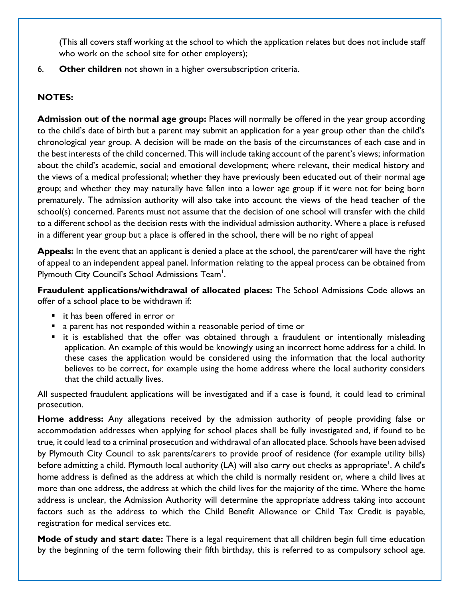(This all covers staff working at the school to which the application relates but does not include staff who work on the school site for other employers);

6. **Other children** not shown in a higher oversubscription criteria.

# **NOTES:**

**Admission out of the normal age group:** Places will normally be offered in the year group according to the child's date of birth but a parent may submit an application for a year group other than the child's chronological year group. A decision will be made on the basis of the circumstances of each case and in the best interests of the child concerned. This will include taking account of the parent's views; information about the child's academic, social and emotional development; where relevant, their medical history and the views of a medical professional; whether they have previously been educated out of their normal age group; and whether they may naturally have fallen into a lower age group if it were not for being born prematurely. The admission authority will also take into account the views of the head teacher of the school(s) concerned. Parents must not assume that the decision of one school will transfer with the child to a different school as the decision rests with the individual admission authority. Where a place is refused in a different year group but a place is offered in the school, there will be no right of appeal

**Appeals:** In the event that an applicant is denied a place at the school, the parent/carer will have the right of appeal to an independent appeal panel. Information relating to the appeal process can be obtained from Plymouth City Council's School Admissions Team<sup>1</sup>.

**Fraudulent applications/withdrawal of allocated places:** The School Admissions Code allows an offer of a school place to be withdrawn if:

- it has been offered in error or
- a parent has not responded within a reasonable period of time or
- it is established that the offer was obtained through a fraudulent or intentionally misleading application. An example of this would be knowingly using an incorrect home address for a child. In these cases the application would be considered using the information that the local authority believes to be correct, for example using the home address where the local authority considers that the child actually lives.

All suspected fraudulent applications will be investigated and if a case is found, it could lead to criminal prosecution.

**Home address:** Any allegations received by the admission authority of people providing false or accommodation addresses when applying for school places shall be fully investigated and, if found to be true, it could lead to a criminal prosecution and withdrawal of an allocated place. Schools have been advised by Plymouth City Council to ask parents/carers to provide proof of residence (for example utility bills) before admitting a child. Plymouth local authority (LA) will also carry out checks as appropriate<sup>1</sup>. A child's home address is defined as the address at which the child is normally resident or, where a child lives at more than one address, the address at which the child lives for the majority of the time. Where the home address is unclear, the Admission Authority will determine the appropriate address taking into account factors such as the address to which the Child Benefit Allowance or Child Tax Credit is payable, registration for medical services etc.

**Mode of study and start date:** There is a legal requirement that all children begin full time education by the beginning of the term following their fifth birthday, this is referred to as compulsory school age.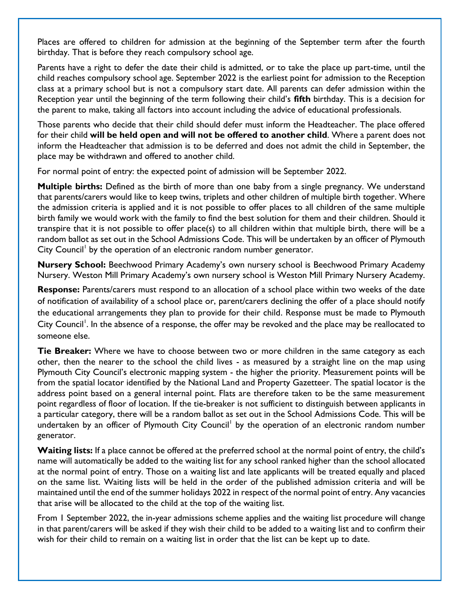Places are offered to children for admission at the beginning of the September term after the fourth birthday. That is before they reach compulsory school age.

Parents have a right to defer the date their child is admitted, or to take the place up part-time, until the child reaches compulsory school age. September 2022 is the earliest point for admission to the Reception class at a primary school but is not a compulsory start date. All parents can defer admission within the Reception year until the beginning of the term following their child's **fifth** birthday. This is a decision for the parent to make, taking all factors into account including the advice of educational professionals.

Those parents who decide that their child should defer must inform the Headteacher. The place offered for their child **will be held open and will not be offered to another child**. Where a parent does not inform the Headteacher that admission is to be deferred and does not admit the child in September, the place may be withdrawn and offered to another child.

For normal point of entry: the expected point of admission will be September 2022.

**Multiple births:** Defined as the birth of more than one baby from a single pregnancy. We understand that parents/carers would like to keep twins, triplets and other children of multiple birth together. Where the admission criteria is applied and it is not possible to offer places to all children of the same multiple birth family we would work with the family to find the best solution for them and their children. Should it transpire that it is not possible to offer place(s) to all children within that multiple birth, there will be a random ballot as set out in the School Admissions Code. This will be undertaken by an officer of Plymouth City Council<sup>1</sup> by the operation of an electronic random number generator.

**Nursery School:** Beechwood Primary Academy's own nursery school is Beechwood Primary Academy Nursery. Weston Mill Primary Academy's own nursery school is Weston Mill Primary Nursery Academy.

**Response:** Parents/carers must respond to an allocation of a school place within two weeks of the date of notification of availability of a school place or, parent/carers declining the offer of a place should notify the educational arrangements they plan to provide for their child. Response must be made to Plymouth City Council<sup>1</sup>. In the absence of a response, the offer may be revoked and the place may be reallocated to someone else.

**Tie Breaker:** Where we have to choose between two or more children in the same category as each other, then the nearer to the school the child lives - as measured by a straight line on the map using Plymouth City Council's electronic mapping system - the higher the priority. Measurement points will be from the spatial locator identified by the National Land and Property Gazetteer. The spatial locator is the address point based on a general internal point. Flats are therefore taken to be the same measurement point regardless of floor of location. If the tie-breaker is not sufficient to distinguish between applicants in a particular category, there will be a random ballot as set out in the School Admissions Code. This will be undertaken by an officer of Plymouth City Council<sup>1</sup> by the operation of an electronic random number generator.

Waiting lists: If a place cannot be offered at the preferred school at the normal point of entry, the child's name will automatically be added to the waiting list for any school ranked higher than the school allocated at the normal point of entry. Those on a waiting list and late applicants will be treated equally and placed on the same list. Waiting lists will be held in the order of the published admission criteria and will be maintained until the end of the summer holidays 2022 in respect of the normal point of entry. Any vacancies that arise will be allocated to the child at the top of the waiting list.

From 1 September 2022, the in-year admissions scheme applies and the waiting list procedure will change in that parent/carers will be asked if they wish their child to be added to a waiting list and to confirm their wish for their child to remain on a waiting list in order that the list can be kept up to date.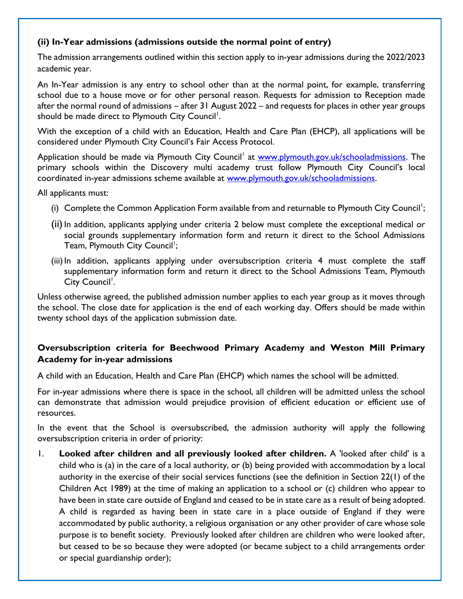# **(ii) In-Year admissions (admissions outside the normal point of entry)**

The admission arrangements outlined within this section apply to in-year admissions during the 2022/2023 academic year.

An In-Year admission is any entry to school other than at the normal point, for example, transferring school due to a house move or for other personal reason. Requests for admission to Reception made after the normal round of admissions – after 31 August 2022 – and requests for places in other year groups should be made direct to Plymouth City Council<sup>1</sup>.

With the exception of a child with an Education, Health and Care Plan (EHCP), all applications will be considered under Plymouth City Council's Fair Access Protocol.

Application should be made via Plymouth City Council<sup>1</sup> at [www.plymouth.gov.uk/schooladmissions.](http://www.plymouth.gov.uk/schooladmissions) The primary schools within the Discovery multi academy trust follow Plymouth City Council's local coordinated in-year admissions scheme available at [www.plymouth.gov.uk/schooladmissions.](http://www.plymouth.gov.uk/schooladmissions)

All applicants must:

- (i) Complete the Common Application Form available from and returnable to Plymouth City Council<sup>1</sup>;
- (ii) In addition, applicants applying under criteria 2 below must complete the exceptional medical or social grounds supplementary information form and return it direct to the School Admissions Team, Plymouth City Council<sup>1</sup>;
- (iii) In addition, applicants applying under oversubscription criteria 4 must complete the staff supplementary information form and return it direct to the School Admissions Team, Plymouth City Council<sup>1</sup>.

Unless otherwise agreed, the published admission number applies to each year group as it moves through the school. The close date for application is the end of each working day. Offers should be made within twenty school days of the application submission date.

# **Oversubscription criteria for Beechwood Primary Academy and Weston Mill Primary Academy for in-year admissions**

A child with an Education, Health and Care Plan (EHCP) which names the school will be admitted.

For in-year admissions where there is space in the school, all children will be admitted unless the school can demonstrate that admission would prejudice provision of efficient education or efficient use of resources.

In the event that the School is oversubscribed, the admission authority will apply the following oversubscription criteria in order of priority:

1. **Looked after children and all previously looked after children.** A 'looked after child' is a child who is (a) in the care of a local authority, or (b) being provided with accommodation by a local authority in the exercise of their social services functions (see the definition in Section 22(1) of the Children Act 1989) at the time of making an application to a school or (c) children who appear to have been in state care outside of England and ceased to be in state care as a result of being adopted. A child is regarded as having been in state care in a place outside of England if they were accommodated by public authority, a religious organisation or any other provider of care whose sole purpose is to benefit society. Previously looked after children are children who were looked after, but ceased to be so because they were adopted (or became subject to a child arrangements order or special guardianship order);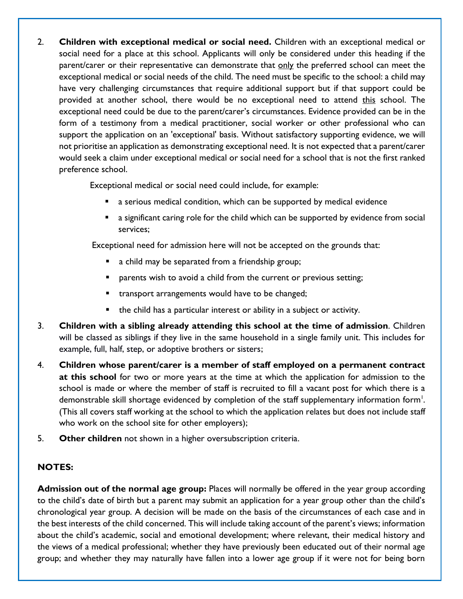2. **Children with exceptional medical or social need.** Children with an exceptional medical or social need for a place at this school. Applicants will only be considered under this heading if the parent/carer or their representative can demonstrate that only the preferred school can meet the exceptional medical or social needs of the child. The need must be specific to the school: a child may have very challenging circumstances that require additional support but if that support could be provided at another school, there would be no exceptional need to attend this school. The exceptional need could be due to the parent/carer's circumstances. Evidence provided can be in the form of a testimony from a medical practitioner, social worker or other professional who can support the application on an 'exceptional' basis. Without satisfactory supporting evidence, we will not prioritise an application as demonstrating exceptional need. It is not expected that a parent/carer would seek a claim under exceptional medical or social need for a school that is not the first ranked preference school.

Exceptional medical or social need could include, for example:

- a serious medical condition, which can be supported by medical evidence
- a significant caring role for the child which can be supported by evidence from social services;

Exceptional need for admission here will not be accepted on the grounds that:

- a child may be separated from a friendship group;
- parents wish to avoid a child from the current or previous setting;
- transport arrangements would have to be changed;
- the child has a particular interest or ability in a subject or activity.
- 3. **Children with a sibling already attending this school at the time of admission**. Children will be classed as siblings if they live in the same household in a single family unit. This includes for example, full, half, step, or adoptive brothers or sisters;
- 4. **Children whose parent/carer is a member of staff employed on a permanent contract at this school** for two or more years at the time at which the application for admission to the school is made or where the member of staff is recruited to fill a vacant post for which there is a demonstrable skill shortage evidenced by completion of the staff supplementary information form<sup>1</sup>. (This all covers staff working at the school to which the application relates but does not include staff who work on the school site for other employers);
- 5. **Other children** not shown in a higher oversubscription criteria.

# **NOTES:**

**Admission out of the normal age group:** Places will normally be offered in the year group according to the child's date of birth but a parent may submit an application for a year group other than the child's chronological year group. A decision will be made on the basis of the circumstances of each case and in the best interests of the child concerned. This will include taking account of the parent's views; information about the child's academic, social and emotional development; where relevant, their medical history and the views of a medical professional; whether they have previously been educated out of their normal age group; and whether they may naturally have fallen into a lower age group if it were not for being born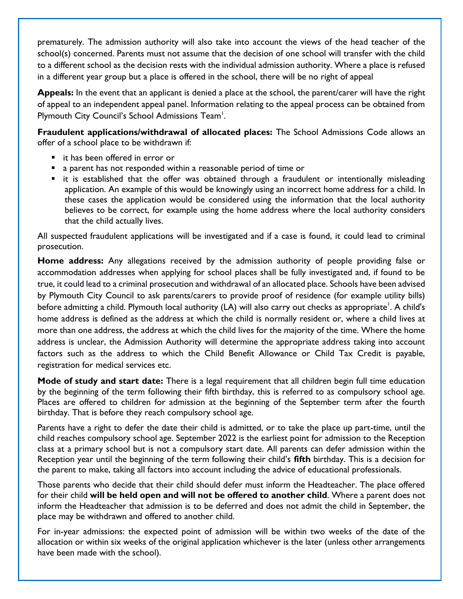prematurely. The admission authority will also take into account the views of the head teacher of the school(s) concerned. Parents must not assume that the decision of one school will transfer with the child to a different school as the decision rests with the individual admission authority. Where a place is refused in a different year group but a place is offered in the school, there will be no right of appeal

**Appeals:** In the event that an applicant is denied a place at the school, the parent/carer will have the right of appeal to an independent appeal panel. Information relating to the appeal process can be obtained from Plymouth City Council's School Admissions Team<sup>1</sup>.

**Fraudulent applications/withdrawal of allocated places:** The School Admissions Code allows an offer of a school place to be withdrawn if:

- it has been offered in error or
- a parent has not responded within a reasonable period of time or
- it is established that the offer was obtained through a fraudulent or intentionally misleading application. An example of this would be knowingly using an incorrect home address for a child. In these cases the application would be considered using the information that the local authority believes to be correct, for example using the home address where the local authority considers that the child actually lives.

All suspected fraudulent applications will be investigated and if a case is found, it could lead to criminal prosecution.

**Home address:** Any allegations received by the admission authority of people providing false or accommodation addresses when applying for school places shall be fully investigated and, if found to be true, it could lead to a criminal prosecution and withdrawal of an allocated place. Schools have been advised by Plymouth City Council to ask parents/carers to provide proof of residence (for example utility bills) before admitting a child. Plymouth local authority (LA) will also carry out checks as appropriate<sup>'</sup>. A child's home address is defined as the address at which the child is normally resident or, where a child lives at more than one address, the address at which the child lives for the majority of the time. Where the home address is unclear, the Admission Authority will determine the appropriate address taking into account factors such as the address to which the Child Benefit Allowance or Child Tax Credit is payable, registration for medical services etc.

**Mode of study and start date:** There is a legal requirement that all children begin full time education by the beginning of the term following their fifth birthday, this is referred to as compulsory school age. Places are offered to children for admission at the beginning of the September term after the fourth birthday. That is before they reach compulsory school age.

Parents have a right to defer the date their child is admitted, or to take the place up part-time, until the child reaches compulsory school age. September 2022 is the earliest point for admission to the Reception class at a primary school but is not a compulsory start date. All parents can defer admission within the Reception year until the beginning of the term following their child's **fifth** birthday. This is a decision for the parent to make, taking all factors into account including the advice of educational professionals.

Those parents who decide that their child should defer must inform the Headteacher. The place offered for their child **will be held open and will not be offered to another child**. Where a parent does not inform the Headteacher that admission is to be deferred and does not admit the child in September, the place may be withdrawn and offered to another child.

For in-year admissions: the expected point of admission will be within two weeks of the date of the allocation or within six weeks of the original application whichever is the later (unless other arrangements have been made with the school).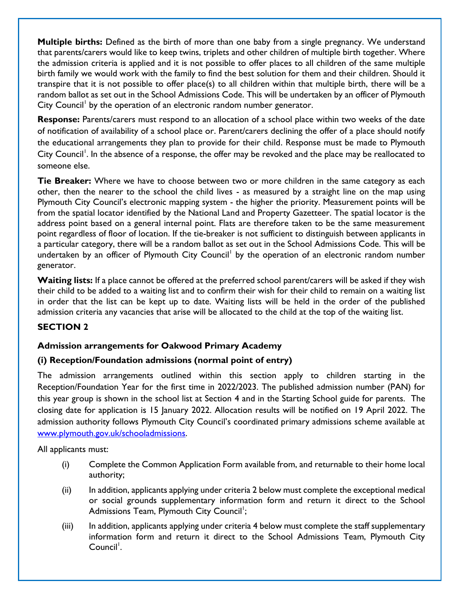**Multiple births:** Defined as the birth of more than one baby from a single pregnancy. We understand that parents/carers would like to keep twins, triplets and other children of multiple birth together. Where the admission criteria is applied and it is not possible to offer places to all children of the same multiple birth family we would work with the family to find the best solution for them and their children. Should it transpire that it is not possible to offer place(s) to all children within that multiple birth, there will be a random ballot as set out in the School Admissions Code. This will be undertaken by an officer of Plymouth City Council<sup>1</sup> by the operation of an electronic random number generator.

**Response:** Parents/carers must respond to an allocation of a school place within two weeks of the date of notification of availability of a school place or. Parent/carers declining the offer of a place should notify the educational arrangements they plan to provide for their child. Response must be made to Plymouth City Council<sup>1</sup>. In the absence of a response, the offer may be revoked and the place may be reallocated to someone else.

**Tie Breaker:** Where we have to choose between two or more children in the same category as each other, then the nearer to the school the child lives - as measured by a straight line on the map using Plymouth City Council's electronic mapping system - the higher the priority. Measurement points will be from the spatial locator identified by the National Land and Property Gazetteer. The spatial locator is the address point based on a general internal point. Flats are therefore taken to be the same measurement point regardless of floor of location. If the tie-breaker is not sufficient to distinguish between applicants in a particular category, there will be a random ballot as set out in the School Admissions Code. This will be undertaken by an officer of Plymouth City Council<sup>1</sup> by the operation of an electronic random number generator.

**Waiting lists:** If a place cannot be offered at the preferred school parent/carers will be asked if they wish their child to be added to a waiting list and to confirm their wish for their child to remain on a waiting list in order that the list can be kept up to date. Waiting lists will be held in the order of the published admission criteria any vacancies that arise will be allocated to the child at the top of the waiting list.

# **SECTION 2**

# **Admission arrangements for Oakwood Primary Academy**

# **(i) Reception/Foundation admissions (normal point of entry)**

The admission arrangements outlined within this section apply to children starting in the Reception/Foundation Year for the first time in 2022/2023. The published admission number (PAN) for this year group is shown in the school list at Section 4 and in the Starting School guide for parents. The closing date for application is 15 January 2022. Allocation results will be notified on 19 April 2022. The admission authority follows Plymouth City Council's coordinated primary admissions scheme available at [www.plymouth.gov.uk/schooladmissions.](http://www.plymouth.gov.uk/schooladmissions)

All applicants must:

- (i) Complete the Common Application Form available from, and returnable to their home local authority;
- (ii) In addition, applicants applying under criteria 2 below must complete the exceptional medical or social grounds supplementary information form and return it direct to the School Admissions Team, Plymouth City Council<sup>1</sup>;
- (iii) In addition, applicants applying under criteria 4 below must complete the staff supplementary information form and return it direct to the School Admissions Team, Plymouth City Council<sup>'</sup>.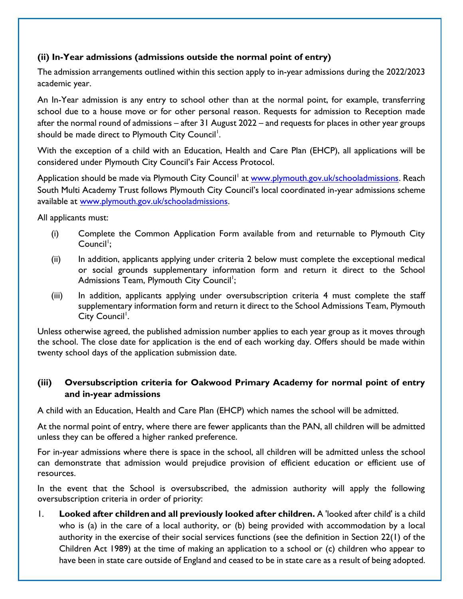# **(ii) In-Year admissions (admissions outside the normal point of entry)**

The admission arrangements outlined within this section apply to in-year admissions during the 2022/2023 academic year.

An In-Year admission is any entry to school other than at the normal point, for example, transferring school due to a house move or for other personal reason. Requests for admission to Reception made after the normal round of admissions – after 31 August 2022 – and requests for places in other year groups should be made direct to Plymouth City Council<sup>1</sup>.

With the exception of a child with an Education, Health and Care Plan (EHCP), all applications will be considered under Plymouth City Council's Fair Access Protocol.

Application should be made via Plymouth City Council<sup>1</sup> at [www.plymouth.gov.uk/schooladmissions.](http://www.plymouth.gov.uk/schooladmissions) Reach South Multi Academy Trust follows Plymouth City Council's local coordinated in-year admissions scheme available at [www.plymouth.gov.uk/schooladmissions.](http://www.plymouth.gov.uk/schooladmissions)

All applicants must:

- (i) Complete the Common Application Form available from and returnable to Plymouth City Council<sup>1</sup>;
- (ii) In addition, applicants applying under criteria 2 below must complete the exceptional medical or social grounds supplementary information form and return it direct to the School Admissions Team, Plymouth City Council<sup>1</sup>;
- (iii) In addition, applicants applying under oversubscription criteria 4 must complete the staff supplementary information form and return it direct to the School Admissions Team, Plymouth City Council<sup>1</sup>.

Unless otherwise agreed, the published admission number applies to each year group as it moves through the school. The close date for application is the end of each working day. Offers should be made within twenty school days of the application submission date.

# **(iii) Oversubscription criteria for Oakwood Primary Academy for normal point of entry and in-year admissions**

A child with an Education, Health and Care Plan (EHCP) which names the school will be admitted.

At the normal point of entry, where there are fewer applicants than the PAN, all children will be admitted unless they can be offered a higher ranked preference.

For in-year admissions where there is space in the school, all children will be admitted unless the school can demonstrate that admission would prejudice provision of efficient education or efficient use of resources.

In the event that the School is oversubscribed, the admission authority will apply the following oversubscription criteria in order of priority:

1. **Looked after childrenand all previously looked after children.** A 'looked after child' is a child who is (a) in the care of a local authority, or (b) being provided with accommodation by a local authority in the exercise of their social services functions (see the definition in Section 22(1) of the Children Act 1989) at the time of making an application to a school or (c) children who appear to have been in state care outside of England and ceased to be in state care as a result of being adopted.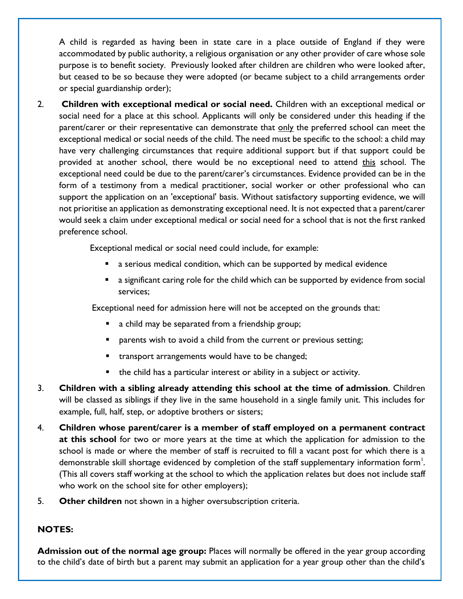A child is regarded as having been in state care in a place outside of England if they were accommodated by public authority, a religious organisation or any other provider of care whose sole purpose is to benefit society. Previously looked after children are children who were looked after, but ceased to be so because they were adopted (or became subject to a child arrangements order or special guardianship order);

2. **Children with exceptional medical or social need.** Children with an exceptional medical or social need for a place at this school. Applicants will only be considered under this heading if the parent/carer or their representative can demonstrate that only the preferred school can meet the exceptional medical or social needs of the child. The need must be specific to the school: a child may have very challenging circumstances that require additional support but if that support could be provided at another school, there would be no exceptional need to attend this school. The exceptional need could be due to the parent/carer's circumstances. Evidence provided can be in the form of a testimony from a medical practitioner, social worker or other professional who can support the application on an 'exceptional' basis. Without satisfactory supporting evidence, we will not prioritise an application as demonstrating exceptional need. It is not expected that a parent/carer would seek a claim under exceptional medical or social need for a school that is not the first ranked preference school.

Exceptional medical or social need could include, for example:

- a serious medical condition, which can be supported by medical evidence
- a significant caring role for the child which can be supported by evidence from social services;

Exceptional need for admission here will not be accepted on the grounds that:

- a child may be separated from a friendship group;
- parents wish to avoid a child from the current or previous setting;
- **E** transport arrangements would have to be changed;
- the child has a particular interest or ability in a subject or activity.
- 3. **Children with a sibling already attending this school at the time of admission**. Children will be classed as siblings if they live in the same household in a single family unit. This includes for example, full, half, step, or adoptive brothers or sisters;
- 4. **Children whose parent/carer is a member of staff employed on a permanent contract at this school** for two or more years at the time at which the application for admission to the school is made or where the member of staff is recruited to fill a vacant post for which there is a demonstrable skill shortage evidenced by completion of the staff supplementary information form<sup>1</sup>. (This all covers staff working at the school to which the application relates but does not include staff who work on the school site for other employers);
- 5. **Other children** not shown in a higher oversubscription criteria.

#### **NOTES:**

**Admission out of the normal age group:** Places will normally be offered in the year group according to the child's date of birth but a parent may submit an application for a year group other than the child's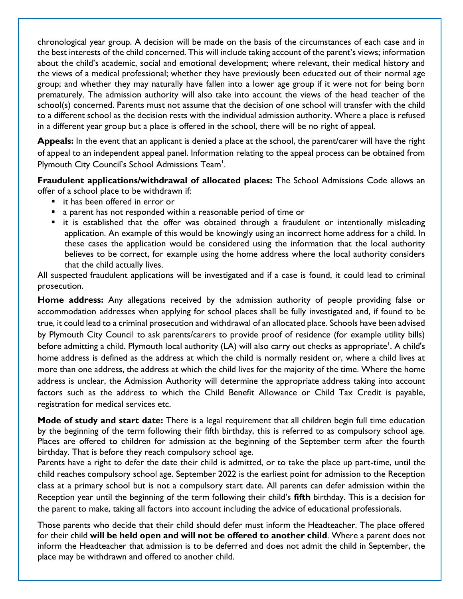chronological year group. A decision will be made on the basis of the circumstances of each case and in the best interests of the child concerned. This will include taking account of the parent's views; information about the child's academic, social and emotional development; where relevant, their medical history and the views of a medical professional; whether they have previously been educated out of their normal age group; and whether they may naturally have fallen into a lower age group if it were not for being born prematurely. The admission authority will also take into account the views of the head teacher of the school(s) concerned. Parents must not assume that the decision of one school will transfer with the child to a different school as the decision rests with the individual admission authority. Where a place is refused in a different year group but a place is offered in the school, there will be no right of appeal.

**Appeals:** In the event that an applicant is denied a place at the school, the parent/carer will have the right of appeal to an independent appeal panel. Information relating to the appeal process can be obtained from Plymouth City Council's School Admissions Team<sup>1</sup>.

**Fraudulent applications/withdrawal of allocated places:** The School Admissions Code allows an offer of a school place to be withdrawn if:

- it has been offered in error or
- a parent has not responded within a reasonable period of time or
- it is established that the offer was obtained through a fraudulent or intentionally misleading application. An example of this would be knowingly using an incorrect home address for a child. In these cases the application would be considered using the information that the local authority believes to be correct, for example using the home address where the local authority considers that the child actually lives.

All suspected fraudulent applications will be investigated and if a case is found, it could lead to criminal prosecution.

**Home address:** Any allegations received by the admission authority of people providing false or accommodation addresses when applying for school places shall be fully investigated and, if found to be true, it could lead to a criminal prosecution and withdrawal of an allocated place. Schools have been advised by Plymouth City Council to ask parents/carers to provide proof of residence (for example utility bills) before admitting a child. Plymouth local authority (LA) will also carry out checks as appropriate<sup>'</sup>. A child's home address is defined as the address at which the child is normally resident or, where a child lives at more than one address, the address at which the child lives for the majority of the time. Where the home address is unclear, the Admission Authority will determine the appropriate address taking into account factors such as the address to which the Child Benefit Allowance or Child Tax Credit is payable, registration for medical services etc.

**Mode of study and start date:** There is a legal requirement that all children begin full time education by the beginning of the term following their fifth birthday, this is referred to as compulsory school age. Places are offered to children for admission at the beginning of the September term after the fourth birthday. That is before they reach compulsory school age.

Parents have a right to defer the date their child is admitted, or to take the place up part-time, until the child reaches compulsory school age. September 2022 is the earliest point for admission to the Reception class at a primary school but is not a compulsory start date. All parents can defer admission within the Reception year until the beginning of the term following their child's **fifth** birthday. This is a decision for the parent to make, taking all factors into account including the advice of educational professionals.

Those parents who decide that their child should defer must inform the Headteacher. The place offered for their child **will be held open and will not be offered to another child**. Where a parent does not inform the Headteacher that admission is to be deferred and does not admit the child in September, the place may be withdrawn and offered to another child.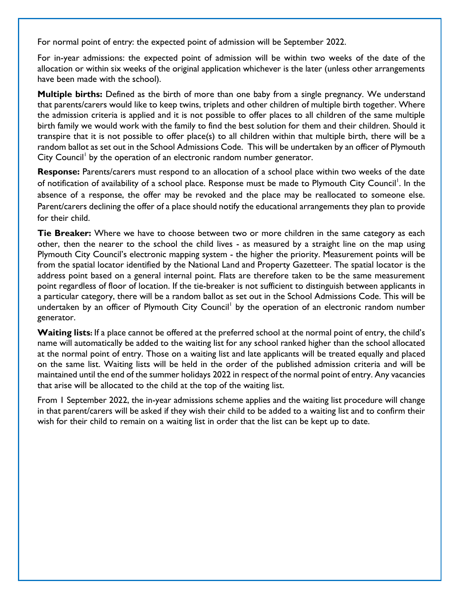For normal point of entry: the expected point of admission will be September 2022.

For in-year admissions: the expected point of admission will be within two weeks of the date of the allocation or within six weeks of the original application whichever is the later (unless other arrangements have been made with the school).

**Multiple births:** Defined as the birth of more than one baby from a single pregnancy. We understand that parents/carers would like to keep twins, triplets and other children of multiple birth together. Where the admission criteria is applied and it is not possible to offer places to all children of the same multiple birth family we would work with the family to find the best solution for them and their children. Should it transpire that it is not possible to offer place(s) to all children within that multiple birth, there will be a random ballot as set out in the School Admissions Code. This will be undertaken by an officer of Plymouth City Council<sup>1</sup> by the operation of an electronic random number generator.

**Response:** Parents/carers must respond to an allocation of a school place within two weeks of the date of notification of availability of a school place. Response must be made to Plymouth City Council<sup>1</sup>. In the absence of a response, the offer may be revoked and the place may be reallocated to someone else. Parent/carers declining the offer of a place should notify the educational arrangements they plan to provide for their child.

**Tie Breaker:** Where we have to choose between two or more children in the same category as each other, then the nearer to the school the child lives - as measured by a straight line on the map using Plymouth City Council's electronic mapping system - the higher the priority. Measurement points will be from the spatial locator identified by the National Land and Property Gazetteer. The spatial locator is the address point based on a general internal point. Flats are therefore taken to be the same measurement point regardless of floor of location. If the tie-breaker is not sufficient to distinguish between applicants in a particular category, there will be a random ballot as set out in the School Admissions Code. This will be undertaken by an officer of Plymouth City Council<sup>1</sup> by the operation of an electronic random number generator.

Waiting lists: If a place cannot be offered at the preferred school at the normal point of entry, the child's name will automatically be added to the waiting list for any school ranked higher than the school allocated at the normal point of entry. Those on a waiting list and late applicants will be treated equally and placed on the same list. Waiting lists will be held in the order of the published admission criteria and will be maintained until the end of the summer holidays 2022 in respect of the normal point of entry. Any vacancies that arise will be allocated to the child at the top of the waiting list.

From 1 September 2022, the in-year admissions scheme applies and the waiting list procedure will change in that parent/carers will be asked if they wish their child to be added to a waiting list and to confirm their wish for their child to remain on a waiting list in order that the list can be kept up to date.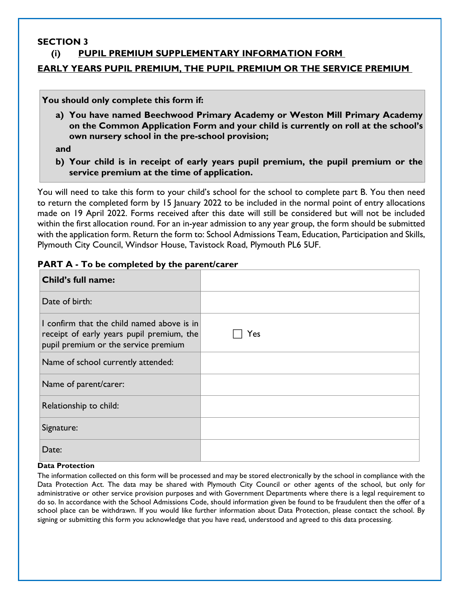#### **SECTION 3**

# **(i) PUPIL PREMIUM SUPPLEMENTARY INFORMATION FORM**

#### **EARLY YEARS PUPIL PREMIUM, THE PUPIL PREMIUM OR THE SERVICE PREMIUM**

**You should only complete this form if:**

**a) You have named Beechwood Primary Academy or Weston Mill Primary Academy on the Common Application Form and your child is currently on roll at the school's own nursery school in the pre-school provision;**

**and**

**b) Your child is in receipt of early years pupil premium, the pupil premium or the service premium at the time of application.**

You will need to take this form to your child's school for the school to complete part B. You then need to return the completed form by 15 January 2022 to be included in the normal point of entry allocations made on 19 April 2022. Forms received after this date will still be considered but will not be included within the first allocation round. For an in-year admission to any year group, the form should be submitted with the application form. Return the form to: School Admissions Team, Education, Participation and Skills, Plymouth City Council, Windsor House, Tavistock Road, Plymouth PL6 5UF.

| Child's full name:                                                                                                              |     |
|---------------------------------------------------------------------------------------------------------------------------------|-----|
| Date of birth:                                                                                                                  |     |
| I confirm that the child named above is in<br>receipt of early years pupil premium, the<br>pupil premium or the service premium | Yes |
| Name of school currently attended:                                                                                              |     |
| Name of parent/carer:                                                                                                           |     |
| Relationship to child:                                                                                                          |     |
| Signature:                                                                                                                      |     |
| Date:                                                                                                                           |     |

#### **PART A - To be completed by the parent/carer**

#### **Data Protection**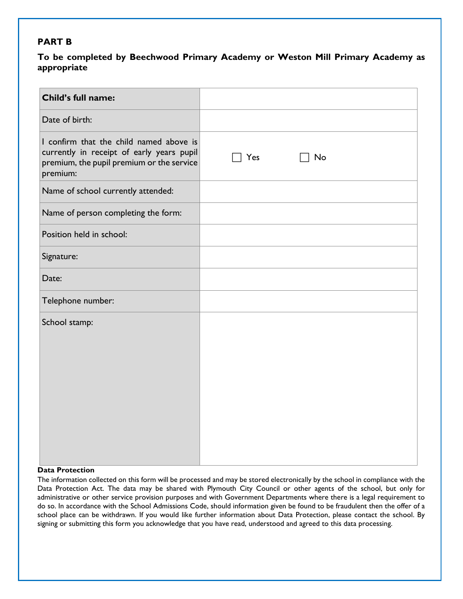#### **PART B**

#### **To be completed by Beechwood Primary Academy or Weston Mill Primary Academy as appropriate**

| Child's full name:                                                                                                                            |     |    |  |
|-----------------------------------------------------------------------------------------------------------------------------------------------|-----|----|--|
| Date of birth:                                                                                                                                |     |    |  |
| I confirm that the child named above is<br>currently in receipt of early years pupil<br>premium, the pupil premium or the service<br>premium: | Yes | No |  |
| Name of school currently attended:                                                                                                            |     |    |  |
| Name of person completing the form:                                                                                                           |     |    |  |
| Position held in school:                                                                                                                      |     |    |  |
| Signature:                                                                                                                                    |     |    |  |
| Date:                                                                                                                                         |     |    |  |
| Telephone number:                                                                                                                             |     |    |  |
| School stamp:                                                                                                                                 |     |    |  |
|                                                                                                                                               |     |    |  |

#### **Data Protection**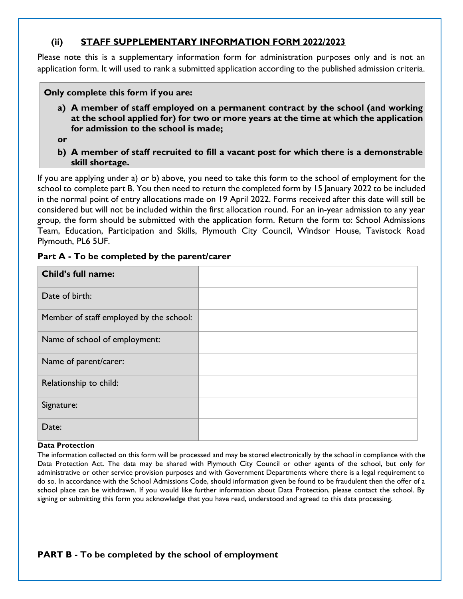# **(ii) STAFF SUPPLEMENTARY INFORMATION FORM 2022/2023**

Please note this is a supplementary information form for administration purposes only and is not an application form. It will used to rank a submitted application according to the published admission criteria.

**Only complete this form if you are:**

- **a) A member of staff employed on a permanent contract by the school (and working at the school applied for) for two or more years at the time at which the application for admission to the school is made;**
- **or**
- **b) A member of staff recruited to fill a vacant post for which there is a demonstrable skill shortage.**

If you are applying under a) or b) above, you need to take this form to the school of employment for the school to complete part B. You then need to return the completed form by 15 January 2022 to be included in the normal point of entry allocations made on 19 April 2022. Forms received after this date will still be considered but will not be included within the first allocation round. For an in-year admission to any year group, the form should be submitted with the application form. Return the form to: School Admissions Team, Education, Participation and Skills, Plymouth City Council, Windsor House, Tavistock Road Plymouth, PL6 5UF.

| Child's full name:                      |  |
|-----------------------------------------|--|
| Date of birth:                          |  |
| Member of staff employed by the school: |  |
| Name of school of employment:           |  |
| Name of parent/carer:                   |  |
| Relationship to child:                  |  |
| Signature:                              |  |
| Date:                                   |  |

# **Part A - To be completed by the parent/carer**

#### **Data Protection**

| <b>PART B - To be completed by the school of employment</b> |
|-------------------------------------------------------------|
|-------------------------------------------------------------|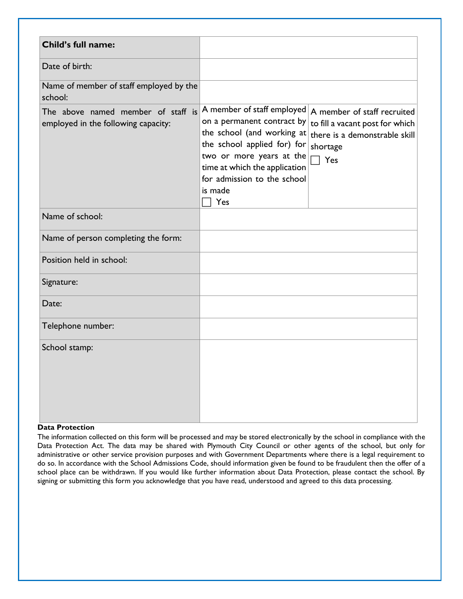| <b>Child's full name:</b>                                                 |                                                                                                                                                                                                                                                                    |                                                                                     |
|---------------------------------------------------------------------------|--------------------------------------------------------------------------------------------------------------------------------------------------------------------------------------------------------------------------------------------------------------------|-------------------------------------------------------------------------------------|
| Date of birth:                                                            |                                                                                                                                                                                                                                                                    |                                                                                     |
| Name of member of staff employed by the<br>school:                        |                                                                                                                                                                                                                                                                    |                                                                                     |
| The above named member of staff is<br>employed in the following capacity: | A member of staff employed $ A$ member of staff recruited<br>on a permanent contract by<br>the school (and working at<br>the school applied for) for<br>two or more years at the<br>time at which the application<br>for admission to the school<br>is made<br>Yes | to fill a vacant post for which<br>there is a demonstrable skill<br>shortage<br>Yes |
| Name of school:                                                           |                                                                                                                                                                                                                                                                    |                                                                                     |
| Name of person completing the form:                                       |                                                                                                                                                                                                                                                                    |                                                                                     |
| Position held in school:                                                  |                                                                                                                                                                                                                                                                    |                                                                                     |
| Signature:                                                                |                                                                                                                                                                                                                                                                    |                                                                                     |
| Date:                                                                     |                                                                                                                                                                                                                                                                    |                                                                                     |
| Telephone number:                                                         |                                                                                                                                                                                                                                                                    |                                                                                     |
| School stamp:                                                             |                                                                                                                                                                                                                                                                    |                                                                                     |

#### **Data Protection**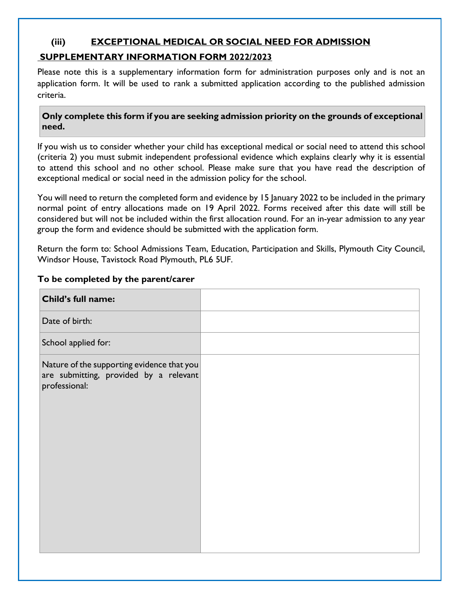# **(iii) EXCEPTIONAL MEDICAL OR SOCIAL NEED FOR ADMISSION**

#### **SUPPLEMENTARY INFORMATION FORM 2022/2023**

Please note this is a supplementary information form for administration purposes only and is not an application form. It will be used to rank a submitted application according to the published admission criteria.

**Only complete this form if you are seeking admission priority on the grounds of exceptional need.** 

If you wish us to consider whether your child has exceptional medical or social need to attend this school (criteria 2) you must submit independent professional evidence which explains clearly why it is essential to attend this school and no other school. Please make sure that you have read the description of exceptional medical or social need in the admission policy for the school.

You will need to return the completed form and evidence by 15 January 2022 to be included in the primary normal point of entry allocations made on 19 April 2022. Forms received after this date will still be considered but will not be included within the first allocation round. For an in-year admission to any year group the form and evidence should be submitted with the application form.

Return the form to: School Admissions Team, Education, Participation and Skills, Plymouth City Council, Windsor House, Tavistock Road Plymouth, PL6 5UF.

| Child's full name:                                                                                    |  |
|-------------------------------------------------------------------------------------------------------|--|
| Date of birth:                                                                                        |  |
| School applied for:                                                                                   |  |
| Nature of the supporting evidence that you<br>are submitting, provided by a relevant<br>professional: |  |

#### **To be completed by the parent/carer**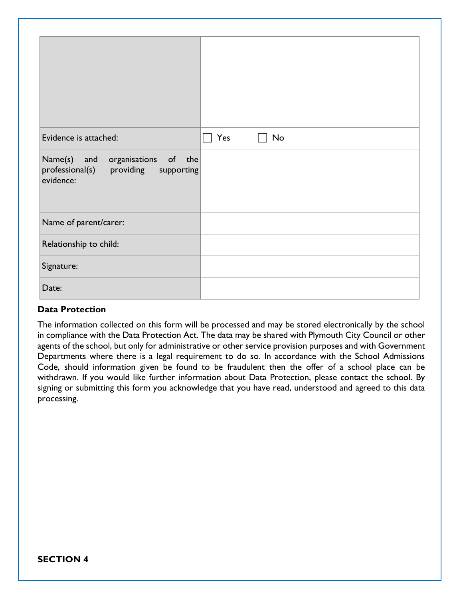| Evidence is attached:                                                                          | Yes<br>No |
|------------------------------------------------------------------------------------------------|-----------|
| Name(s)<br>of the<br>and<br>organisations<br>professional(s) providing supporting<br>evidence: |           |
| Name of parent/carer:                                                                          |           |
| Relationship to child:                                                                         |           |
| Signature:                                                                                     |           |
| Date:                                                                                          |           |

## **Data Protection**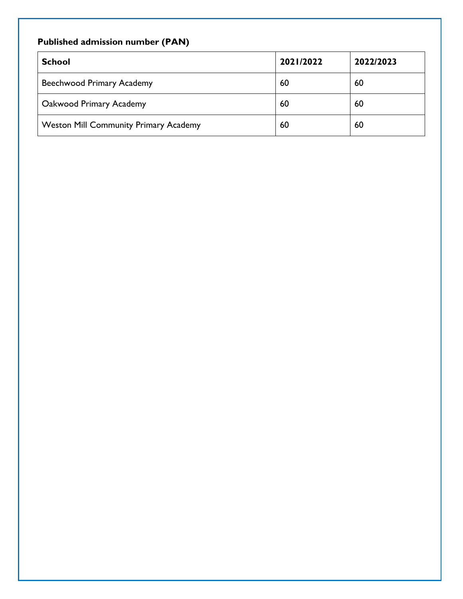# **Published admission number (PAN)**

| <b>School</b>                                | 2021/2022 | 2022/2023 |
|----------------------------------------------|-----------|-----------|
| Beechwood Primary Academy                    | 60        | 60        |
| Oakwood Primary Academy                      | 60        | 60        |
| <b>Weston Mill Community Primary Academy</b> | 60        | 60        |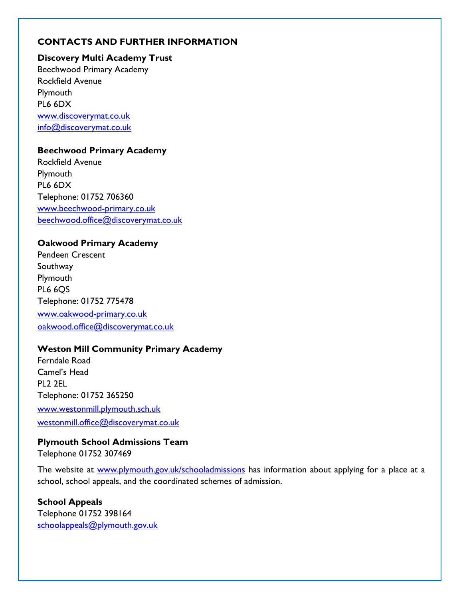# **CONTACTS AND FURTHER INFORMATION**

# **Discovery Multi Academy Trust** Beechwood Primary Academy Rockfield Avenue **Plymouth** PL6 6DX [www.discoverymat.co.uk](http://www.discoverymat.co.uk/) [info@discoverymat.co.uk](mailto:info@discoverymat.co.uk)

#### **Beechwood Primary Academy**

Rockfield Avenue Plymouth PL6 6DX Telephone: 01752 706360 [www.beechwood-primary.co.uk](http://www.beechwood-primary.co.uk/) [beechwood.office@discoverymat.co.uk](mailto:beechwood.office@discoverymat.co.uk)

#### **Oakwood Primary Academy**

Pendeen Crescent Southway Plymouth **PL6 6OS** Telephone: 01752 775478 [www.oakwood-primary.co.uk](http://www.oakwood-primary.co.uk/) [oakwood.office@discoverymat.co.uk](mailto:oakwood.office@discoverymat.co.uk)

#### **Weston Mill Community Primary Academy**

Ferndale Road Camel's Head PL2 2EL Telephone: 01752 365250 [www.westonmill.plymouth.sch.uk](http://www.westonmill.plymouth.sch.uk/) [westonmill.office@discoverymat.co.uk](mailto:westonmill.office@discoverymat.co.uk)

# **Plymouth School Admissions Team**

Telephone 01752 307469

The website at [www.plymouth.gov.uk/schooladmissions](http://www.plymouth.gov.uk/schooladmissions) has information about applying for a place at a school, school appeals, and the coordinated schemes of admission.

# **School Appeals**

Telephone 01752 398164 [schoolappeals@plymouth.gov.uk](mailto:schoolappeals@plymouth.gov.uk)